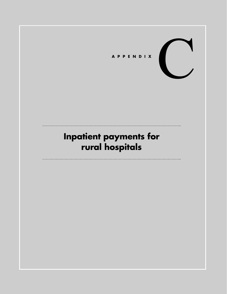

# **Inpatient payments for rural hospitals**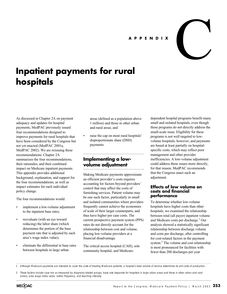# **APPENDIX**

# C

# **Inpatient payments for rural hospitals**

As discussed in Chapter 2A on payment adequacy and updates for hospital payments, MedPAC previously issued four recommendations designed to improve payments for rural hospitals that have been considered by the Congress but not yet enacted (MedPAC 2001a, MedPAC 2002). We are reissuing these recommendations. Chapter 2A summarizes the four recommendations, their rationales, and their combined impact on Medicare inpatient payments. This appendix provides additional background, explanation, and support for the four recommendations, as well as impact estimates for each individual policy change.

The four recommendations would:

- implement a low-volume adjustment to the inpatient base rates;
- reevaluate (with an eye toward reducing) the labor share (which determines the portion of the base payment rate that is adjusted by each area's wage index value);
- eliminate the differential in base rates between hospitals in large urban

areas (defined as a population above 1 million) and those in other urban and rural areas; and

• raise the cap on most rural hospitals' disproportionate share (DSH) payments.

# **Implementing a lowvolume adjustment**

Making Medicare payments approximate an efficient provider's costs requires accounting for factors beyond providers' control that may affect the costs of furnishing services. Patient volume may be one such factor, particularly in small and isolated communities where providers frequently cannot achieve the economies of scale of their larger counterparts, and thus have higher per case costs. The current prospective payment system (PPS) rates do not directly account for the relationship between cost and volume, placing low-volume providers at a financial disadvantage.

The critical access hospital (CAH), sole community hospital, and Medicaredependent hospital programs benefit many small and isolated hospitals, even though these programs do not directly address the small-scale issue. Eligibility for these programs is not well targeted to lowvolume hospitals, however, and payments are based at least partially on hospitalspecific costs, which may reflect poor management and other provider inefficiencies. A low-volume adjustment could address these issues more directly; for that reason, MedPAC recommends that the Congress enact such an adjustment.

#### **Effects of low volume on costs and financial performance**

To determine whether low-volume hospitals have higher costs than other hospitals, we examined the relationship between total (all payer) inpatient volume and Medicare costs per discharge.1 Our analysis showed a statistically significant relationship between discharge volume and costs per discharge, after controlling for cost-related factors in the payment system.<sup>2</sup> The volume and cost relationship is most pronounced for facilities with fewer than 200 discharges per year

<sup>1</sup> Although Medicare payments are intended to cover the costs of treating Medicare patients, a hospital's total volume of service determines its unit costs of production.

<sup>2</sup> These factors include case mix as measured by diagnosis related groups, base rate (separate for hospitals in large urban areas and those in other urban and rural areas), area wage index value, outlier frequency, and teaching intensity.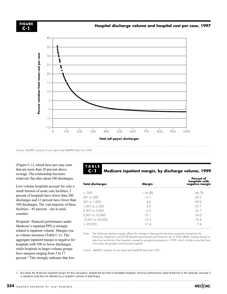

Source: MedPAC analysis of cost report and MedPAR data from CMS.

(Figure C-1), which have per case costs that are more than 20 percent above average. The relationship becomes relatively flat after about 500 discharges.

Low-volume hospitals account for only a small fraction of acute care facilities; 2 percent of hospitals have fewer than 200 discharges and 11 percent have fewer than 500 discharges. The vast majority of these facilities—85 percent—are in rural counties.

Hospitals' financial performance under Medicare's inpatient PPS is strongly related to inpatient volume: Margins rise as volume increases (Table C-1). The aggregate inpatient margin is negative for hospitals with 500 or fewer discharges, while hospitals in larger-volume groups have margins ranging from 5 to 17 percent.3 This strongly indicates that low-

# **TABLE**

#### **Medicare inpatient margin, by discharge volume, 1999 C-1**

| <b>Total discharges</b> | Margin   | Percent of<br>hospitals with<br>negative margin |  |
|-------------------------|----------|-------------------------------------------------|--|
| < 200                   | $-16.4%$ | 66.7%                                           |  |
| $201$ to $500$          | $-21$    | 50.2                                            |  |
| 501 to 1,000            | 46       | 39 O                                            |  |
| 1,001 to 2,500          | .5 O     | 377                                             |  |
| 2,501 to 5,000          | 6.5      | 32.7                                            |  |
| 5,001 to 10,000         | 10 I     | 24 O                                            |  |
| 10,001 to 20,000        | 12.3     | 194                                             |  |
| > 20,000                | 174      | 7.4                                             |  |

Note: The Medicare inpatient margin reflects the change in disproportionate share payments enacted by the Medicare, Medicaid, and SCHIP Benefits Improvement and Protection Act of 2000 (BIPA). Analysis based on data from two-thirds of the hospitals covered by prospective payment in 1999, which includes some that have since been designated critical access hospitals.

Source: MedPAC analysis of cost report and MedPAR data from CMS.

3 We show the Medicare inpatient margin for this calculation, despite the fact that it overstates hospitals' financial performance under Medicare in the absolute, because it is inpatient costs that are affected by a hospital's volume of discharges.

**254** Inpatient payments for rural hospitals

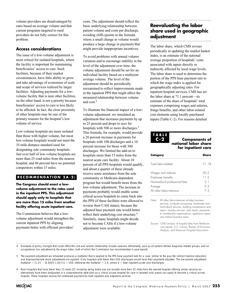volume providers are disadvantaged by rates based on average volume and that current programs targeted to rural providers do not fully correct for this problem.

# **Access considerations**

The issue of a low-volume adjustment is most critical for isolated hospitals, where the facility is important for maintaining beneficiaries' access to care. Such facilities, because of their market circumstances, have little ability to grow and take advantage of economies of scale and scope of services realized by larger facilities. Adjusting payments for a lowvolume facility that is near other facilities, on the other hand, is not a priority because beneficiaries' access to care is less likely to be affected. In fact, the close proximity of other hospitals may be one of the primary reasons for the hospital's low volume of service.

Low-volume hospitals are more isolated than those with higher volume, but most low-volume hospitals would not meet the 35-mile distance standard used for designating sole community hospitals. Just over half of low-volume hospitals are more than 25 road miles from the nearest hospital, and 86 percent have no potential competitors within 15 miles.

# **RECOMMENDATION 2A-2:**

**The Congress should enact a lowvolume adjustment to the rates used in the inpatient PPS. This adjustment should apply only to hospitals that are more than 15 miles from another facility offering acute inpatient care.**

The Commission believes that a lowvolume adjustment would strengthen the current inpatient PPS by aligning payments better with efficient providers'

costs. The adjustment should reflect the basic underlying relationship between patient volume and costs per discharge, avoiding cliffs (points in the formula where a small change in volume would produce a large change in payment) that might provide inappropriate incentives.

To avoid problems with annual volume variation and to encourage stability in the level of the adjustment over time, the volume adjustment should be set for an individual facility based on a multiyear average volume. The level of the adjustment should be periodically reexamined to reflect improvements made in the inpatient PPS that might affect the measured relationship between volume and cost.4

To illustrate the financial impact of a lowvolume adjustment, we simulated an adjustment that increases payments by up to 25 percent and drops to zero for hospitals with 500 or more discharges.<sup>5</sup> This formula, for example, would provide a 20 percent increase in payments for hospitals with 100 discharges and a 10 percent increase for those with 300 discharges. We limited the add-on to hospitals more than 15 miles from the nearest acute care facility. About 10 percent of all PPS hospitals would qualify, and about a quarter of these already receive some assistance from the sole community or Medicare-dependent program but would benefit more from the low-volume adjustment. The increase in payments probably would enable some critical access hospitals to come back into the PPS (if these facilities were allowed to reverse their CAH status), because the adjusted base payment rate would better reflect their underlying cost structure.<sup>6</sup> Similarly, many hospitals might decide not to become CAHs if a low-volume adjustment were available.

# **Reevaluating the labor share used in geographic adjustment**

The labor share, which CMS revises periodically in updating the market basket index, is an estimate of the national average proportion of hospitals' costs associated with inputs directly or indirectly affected by local wage levels. The labor share is used to determine the portion of the PPS base payment rate to which the wage index is applied for geographically adjusting rates. For inpatient hospital services, CMS has set the labor share at 71.1 percent—its estimate of the share of hospitals' total expenses comprising wages and salaries, fringe benefits, and other labor-related cost elements using locally purchased inputs (Table C-2). For reasons detailed

#### **Components of national labor share for inpatient care TABLE C-2**

| Category                     | Share |
|------------------------------|-------|
| Total labor-related          | 71.1% |
| Wages and salaries           | 50.2  |
| Employee benefits            | 11.2  |
| Nonmedical professional fees | 2.1   |
| Postage                      | 0.3   |
| All other labor-intensive    | 7.3   |
|                              |       |

Note: All other labor-intensive includes business services, computer processing, landscape and horticultural services, building maintenance and repair, laundry services, auto repair, payments to membership organizations, appliance repair, and indirect business taxes.

Source: CMS analysis of hospital data from Medicare cost reports, U.S. Census, Bureau of Economic Analysis, and American Hospital Association.

4 Examples of policy changes that could affect the cost and volume relationship include case-mix refinements, such as all patient refined diagnosis related groups, and an occupational mix adjustment to the wage index, both of which the Commission has recommended in past reports.

5 The payment adjustment we simulated produces a multiplier that is applied to the PPS base payment rate for a case, similar to the way the indirect medical education and disproportionate share adjustments are applied. Only hospitals with fewer than 500 discharges would have their payments adjusted. The low-volume adjustment multiplier = [1.25 - (0.0005 x d)] if d < 500; otherwise the mulitplier = 1.0, where d = total inpatient acute care discharges.

6 Rural hospitals that have fewer than 15 beds (25 including swing beds) and are located more than 35 miles from the nearest hospital offering similar services (or alternatively have been designated in a comprehensive state plan as a critical access hospital for care in isolated rural areas) can apply to become a critical access hospital. These hospitals receive full cost-based payment for both inpatient and outpatient services.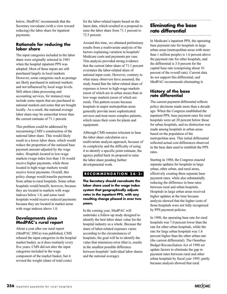below, MedPAC recommends that the Secretary reevaluate (with a view toward reducing) the labor share for inpatient payments.

# **Rationale for reducing the labor share**

The input categories included in the labor share were originally selected in 1983 when the hospital inpatient PPS was adopted. Most of these inputs are still purchased largely in local markets. However, some categories such as postage are likely purchased in national markets and not influenced by local wage levels. Still others (data processing and accounting services, for instance) may include some inputs that are purchased in national markets and some that are bought locally. As a result, the national average labor share may be somewhat lower than the current estimate of 71.1 percent.

This problem could be addressed by reexamining CMS's construction of the national labor share. This would likely result in a lower labor share, which would reduce the proportion of the national base payment amount adjusted by the wage index. Hospitals located in low-wage markets (wage index less than 1.0) would receive higher payments, while those located in high-wage markets would receive lower payments. Overall, this policy change would transfer payments from urban to rural hospitals. Some urban hospitals would benefit, however, because they are located in markets with wage indexes below 1.0, and some rural hospitals would receive reduced payments because they are located in market areas with wage indexes above 1.0.

# **Developments since MedPAC's rural report**

About a year after our rural report (MedPAC 2001a) was published, CMS rebased the input categories in the hospital market basket, as it does routinely every five years. CMS did not alter the input categories included in the wage component of the market basket, but it revised the weight (share of total costs)

for the labor-related inputs based on the latest data, which resulted in a proposal to raise the labor share from 71.1 percent to 72.5 percent.

Around this time, we obtained preliminary results from a multivariate analysis of the factors explaining variation in hospitals' Medicare costs and payments per case. This analysis provided strong evidence that the current labor share of 71.1 percent overstates the labor-related share of national input costs. However, contrary to what many observers have assumed, the study found that the labor-related share of expenses is lower in high-wage markets (most of which are in urban areas) than in low-wage markets (most of which are rural). This pattern occurs because hospitals in major metropolitan areas generally provide more sophisticated services and treat more complex patients, which raises their costs for plants and equipment.

Although CMS remains reluctant to base the labor share calculation on a multivariate analysis approach, because of its complexity and the difficulty of using it to identify a specific point estimate, the agency pulled back its proposal to raise the labor share pending further developmental work.

# **RECOMMENDATION 2A-3:**

**The Secretary should reevaluate the labor share used in the wage index system that geographically adjusts rates in the inpatient PPS, with any resulting change phased in over two years.**

In the coming year, MedPAC will undertake a follow-up study designed to identify the best labor share value for the hospital industry as a whole. Because the share of labor-related expenses varies according to the circumstances of hospitals, the goal will be to identify the value that minimizes error (that is, results in the smallest possible difference between hospitals' individual labor shares and the national average).

# **Eliminating the base rate differential**

In Medicare's inpatient PPS, the operating base payment rate for hospitals in large urban areas (metropolitan areas with more than 1 million people) is 1.6 percent above the payment rate for other hospitals, and the differential is 3.0 percent for the capital base rate (comprising about 10 percent of the overall rate). Current data do not support this differential, and MedPAC recommends eliminating it.

# **History of the base rate differential**

The current payment differential reflects policy decisions made more than a decade ago. When the Congress established the inpatient PPS, base payment rates for rural hospitals were set 20 percent below those for urban hospitals, and no distinction was made among hospitals in urban areas based on the population of the metropolitan area. This initial differential reflected actual cost differences observed in the base data used to establish the PPS rates.

Starting in 1988, the Congress enacted separate updates for hospitals in large urban, other urban, and rural areas, effectively creating three separate base payment rates, while also substantially reducing the difference in base rates between rural and urban hospitals. Hospitals in large urban areas received higher updates at the time because analysis showed that the higher costs of those hospitals were not fully recognized by PPS payment policies.

In 1990, the operating base rate for rural hospitals was 7.0 percent lower than the rate for other urban hospitals, while the rate for large urban hospitals was 1.6 percent higher than the other urban rate (the current differential). The Omnibus Budget Reconciliation Act of 1990 set update factors to eliminate the gap in payment rates between rural and other urban hospitals by fiscal year 1995, partly because analysis showed that rural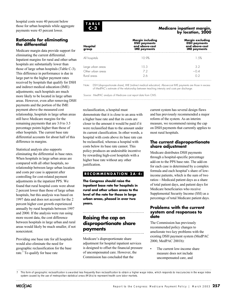hospital costs were 40 percent below those for urban hospitals while aggregate payments were 45 percent lower.

# **Rationale for eliminating the differential**

Medicare margin data provide support for eliminating the current differential. Inpatient margins for rural and other urban hospitals are substantially lower than those of large urban hospitals (Table C-3). This difference in performance is due in large part to the higher payment rates received by hospitals that qualify for DSH and indirect medical education (IME) adjustments; such hospitals are much more likely to be located in large urban areas. However, even after removing DSH payments and the portion of the IME payment above the measured cost relationship, hospitals in large urban areas still have Medicare margins for the remaining payments that are 3.0 to 3.5 percentage points higher than those of other hospitals. The current base rate differential accounts for about half of this difference in margins.

Statistical analysis also supports eliminating the differential in base rates. When hospitals in large urban areas are compared with all other hospitals, no relationship between large urban location and costs per case is apparent after controlling for cost-related payment adjustments in the inpatient PPS. We found that rural hospital costs were about 2 percent lower than those of large urban hospitals, but this analysis was based on 1997 data and does not account for the 2 percent higher cost growth experienced annually by rural hospitals between 1997 and 2000. If the analysis were run using more recent data, the cost difference between hospitals in large urban and rural areas would likely be much smaller, if not nonexistent.

Providing one base rate for all hospitals would also eliminate the need for geographic reclassification for the base rate.<sup>7</sup> To qualify for base rate



#### **Medicare inpatient margin, by location, 2000**

| Hospital<br>group                                     | Margin including<br><b>DSH</b> payments<br>and above-cost<br><b>IME</b> payments | Margin excluding<br><b>DSH payments</b><br>and above-cost<br><b>IME</b> payments |  |
|-------------------------------------------------------|----------------------------------------------------------------------------------|----------------------------------------------------------------------------------|--|
| All hospitals                                         | 10.9%                                                                            | 1.5%                                                                             |  |
| Large urban areas<br>Other urban areas<br>Rural areas | 1.5.3<br>72<br>26                                                                | 32<br>$\cap$ $\supset$                                                           |  |

Note: DSH (disproportionate share), IME (indirect medical education). Above-cost IME payments are those in excess of MedPAC's estimate of the relationship between teaching intensity and costs per discharge.

Source: MedPAC analysis of Medicare cost report data from CMS.

reclassification, a hospital must demonstrate that it is close to an area with a higher base rate and that its costs are closer to the amount it would be paid if it were reclassified than to the amount under its current classification. In other words, a hospital with costs above its base rate can be reclassified, whereas a hospital with costs below its base rate cannot. This policy produces an undesirable incentive by rewarding high-cost hospitals with a higher base rate without any other justification.

# **RECOMMENDATION 2A-4:**

**The Congress should raise the inpatient base rate for hospitals in rural and other urban areas to the level of the rate for those in large urban areas, phased in over two years.**

# **Raising the cap on disproportionate share payments**

Medicare's disproportionate share adjustment for hospital inpatient services is designed to offset the financial pressure of uncompensated care. However, the Commission has concluded that the

current system has several design flaws and has previously recommended a major reform of the system. As an interim measure, we recommend raising the cap on DSH payments that currently applies to most rural hospitals.

## **The current disproportionate share adjustment**

Medicare distributes DSH payments through a hospital-specific percentage add-on to the PPS base rate. The add-on for each case is determined by a complex formula and each hospital's share of lowincome patients, which is the sum of two ratios—Medicaid patient days as a share of total patient days, and patient days for Medicare beneficiaries who receive Supplemental Security Income (SSI) as a percentage of total Medicare patient days.

### **Problems with the current system and responses to date**

The Commission has previously recommended policy changes to ameliorate two key problems with the existing DSH payment system (MedPAC 2000, MedPAC 2001b):

The current low-income share measure does not include uncompensated care, and

<sup>7</sup> This form of geographic reclassification is awarded less frequently than reclassification to obtain a higher wage index, which responds to inaccuracies in the wage index system caused by the use of metropolitan statistical areas (MSAs) to represent health care labor markets.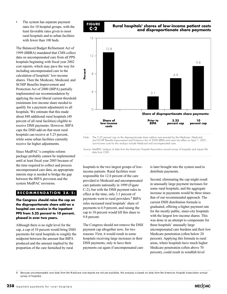• The system has separate payment rates for 10 hospital groups, with the least favorable rates given to most rural hospitals and to urban facilities with fewer than 100 beds.

The Balanced Budget Refinement Act of 1999 (BBRA) mandated that CMS collect data on uncompensated care from all PPS hospitals beginning with fiscal year 2002 cost reports, which may pave the way for including uncompensated care in the calculation of hospitals' low-income shares. Then the Medicare, Medicaid, and SCHIP Benefits Improvement and Protection Act of 2000 (BIPA) partially implemented our recommendation by applying the most liberal current threshold (minimum low-income share needed to qualify for a payment adjustment) to all hospitals. We estimate that this made about 840 additional rural hospitals (40 percent of all rural facilities) eligible to receive DSH payments. However, BIPA caps the DSH add-on that most rural hospitals can receive at 5.25 percent, while some urban facilities currently receive far higher adjustments.

Since MedPAC's complete reform package probably cannot be implemented until at least fiscal year 2005 because of the time required to collect and process uncompensated care data, an appropriate interim step is needed to bridge the gap between the BIPA provision and the system MedPAC envisions.

#### **RECOMMENDATION 2A-5:**

**The Congress should raise the cap on the disproportionate share add-on a hospital can receive in the inpatient PPS from 5.25 percent to 10 percent, phased in over two years.**

Although there is no right level for the cap, a cap of 10 percent would bring DSH payments for rural hospitals to roughly the midpoint between the amount that BIPA produced and the amount implied by the proportion of the care furnished by rural







hospitals to the two largest groups of lowincome patients. Rural facilities were responsible for 12.8 percent of the care is later brought into the system used to distribute payments.

Second, eliminating the cap might result in unusually large payment increases for some rural hospitals, and the aggregate increase in payments would be three times that of our recommended approach. The current DSH distribution formula is graduated, offering a higher payment rate for the mostly public, inner-city hospitals with the largest low-income shares. This was done in an attempt to compensate for these hospitals' unusually large uncompensated care burdens and their low Medicare penetration (often below 20 percent). Applying this formula in rural areas, where hospitals have much higher Medicare penetration (often above 70 percent), could result in windfall-level

8 Because uncompensated care data from the Medicare cost reports are not yet available, this analysis is based on data from the American Hospital Association annual survey of hospitals.

provided to Medicaid and uncompensated care patients nationally in 1999 (Figure C-2), but with the DSH payment rules in effect at the time, only 3.1 percent of payments went to rural providers.<sup>8</sup> BIPA rules increased rural hospitals' share of payments to 6.9 percent, and raising the cap to 10 percent would lift this share to

The Congress should not remove the DSH payment cap altogether now, for two reasons. First, it would result in some hospitals receiving large increases in their DSH payments, only to have their

payments cut again if uncompensated care

9.8 percent.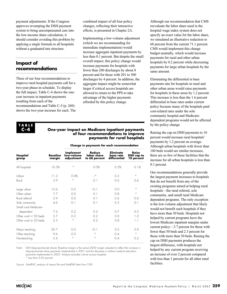payment adjustments. If the Congress approves revamping the DSH payment system to bring uncompensated care into the low-income share calculation, it should consider avoiding this problem by applying a single formula to all hospitals without a graduated rate structure.

# **Impact of recommendations**

Three of our four recommendations to improve rural hospital payments call for a two-year phase-in schedule. To display the full impact, Table C-4 shows the oneyear increase in inpatient payments resulting from each of the recommendations and Table C-5 (p. 260) shows the two-year increase for each. The

combined impact of all four policy changes, reflecting their interactive effects, is presented in Chapter 2A.

Implementing a low-volume adjustment (which we are recommending for immediate implementation) would increase aggregate inpatient payments by less than 0.1 percent. But despite the small overall impact, this policy change would increase payments for hospitals with fewer than 200 discharges by about 8 percent and for those with 201 to 500 discharges by 4 percent. In addition, the aggregate impact might be somewhat larger if critical access hospitals are allowed to return to the PPS to take advantage of the higher payments afforded by this policy change.

**TABLE C-4**

#### **One-year impact on Medicare inpatient payments of four recommendations to improve payments for rural hospitals**

**Change in payments for each recommendation**

| Hospital<br>group          | <b>Baseline</b><br>margin |                                       |                                        |                                        |                                   |  |
|----------------------------|---------------------------|---------------------------------------|----------------------------------------|----------------------------------------|-----------------------------------|--|
|                            |                           | Implement<br>low-volume<br>adjustment | Reduce<br>labor share<br>to 68 percent | Eliminate<br>base rate<br>differential | Raise<br>DSH cap to<br>10 percent |  |
| All hospitals              | 10.3%                     | $\star$                               | 0.0%                                   | 0.3%                                   | 0.1%                              |  |
| Urban                      | 11.3                      | 0.0%                                  | $-*$                                   | 0.3                                    | $\star$                           |  |
| Rural                      | 3.9                       | $\star$                               | 0.1                                    | 06                                     | 0.6                               |  |
| Large urban                | 13.6                      | 0.0                                   | $-01$                                  | 0.0                                    | $\star$                           |  |
| Other urban                | 77                        | O O                                   | $\Omega$ 1                             | $O_8$                                  | $\star$                           |  |
| Rural referral             | 3.9                       | 0.0                                   | $\Omega$ 1                             | 06                                     | 0.6                               |  |
| Sole community             | 4.6                       | 0.1                                   | 0.1                                    | 0.3                                    | 0.1                               |  |
| Small rural Medicare-      |                           |                                       |                                        |                                        |                                   |  |
| dependent                  | 7.2                       | 02                                    | 02                                     | 0.7                                    | 0.5                               |  |
| Other rural $<$ 50 beds    | 3.7                       | 02                                    | 0.2                                    | O.8                                    | 10                                |  |
| Other rural $\geq$ 50 beds | 2.5                       | $\star$                               | 0.2                                    | 0.8                                    | 1.1                               |  |
| Major teaching             | 20.7                      | O O                                   | $-01$                                  | 02                                     | O O                               |  |
| Other teaching             | 9.6                       | O O                                   | $\star$                                | $\Omega$ 4                             | $\star$                           |  |
| Nonteaching                | 5.4                       | $\star$                               | $\star$                                | $\Omega$ 4                             | 0.2                               |  |

Note: DSH (disproportionate share). Baseline margin is the actual 2000 margin adjusted to reflect the increase in disproportionate share payments implemented in 2001 and the decrease in indirect medical education payments implemented in 2003. Analysis excludes critical access hospitals. \* Less than 0.05 percent

Source: MedPAC analysis of impact file and MedPAR data from CMS.

Although our recommendation that CMS reevaluate the labor share used in the hospital wage index system does not specify an exact value for the labor share, we simulated an illustrative reduction to 68 percent from the current 71.1 percent. CMS would implement this change budget neutrally, which would increase payments for rural and other urban hospitals by 0.2 percent while decreasing payments for large urban hospitals by the same amount.

Eliminating the differential in base payments rate for hospitals in rural and other urban areas would raise payments for hospitals in these areas by 1.2 percent. This increase is less than the 1.6 percent differential in base rates under current policy because many of the hospitals paid cost-related rates under the sole community hospital and Medicaredependent programs would not be affected by the policy change.

Raising the cap on DSH payments to 10 percent would increase rural hospitals' payments by 1.2 percent on average. Although urban hospitals with fewer than 100 beds would see similar increases, there are so few of these facilities that the increase for all urban hospitals is less than 0.1 percent.

Our recommendations generally provide the largest payment increases to hospitals that do not benefit from any of the existing programs aimed at helping rural hospitals—the rural referral, sole community, and small rural Medicare dependent programs. The only exception is the low-volume adjustment that likely would not benefit such hospitals if they have more than 50 beds. Hospitals not helped by current programs have the lowest Medicare inpatient margins under current policy—3.7 percent for those with fewer than 50 beds and 2.5 percent for those with more than 50 beds. Raising the cap on DSH payments produces the largest difference, with hospitals not helped by any current program receiving an increase of over 2 percent compared with less than 1 percent for all other rural facilities.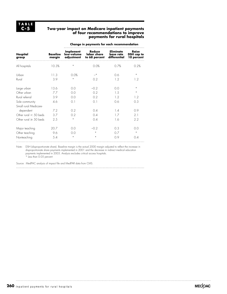#### **Two-year impact on Medicare inpatient payments of four recommendations to improve payments for rural hospitals**

| Hospital<br>group          | <b>Baseline</b><br>margin |                                       |                                        |                                        |                                   |  |
|----------------------------|---------------------------|---------------------------------------|----------------------------------------|----------------------------------------|-----------------------------------|--|
|                            |                           | Implement<br>low-volume<br>adjustment | Reduce<br>labor share<br>to 68 percent | Eliminate<br>base rate<br>differential | Raise<br>DSH cap to<br>10 percent |  |
| All hospitals              | 10.3%                     | $\star$                               | 0.0%                                   | 0.7%                                   | 0.2%                              |  |
| Urban                      | 11.3                      | 0.0%                                  | –*                                     | 06                                     | $\star$                           |  |
| Rural                      | 3.9                       | $^\star$                              | 0.2                                    | 12                                     | 1.2                               |  |
| Large urban                | 13.6                      | 0 <sub>0</sub>                        | $-0.2$                                 | $\Omega$                               | $\star$                           |  |
| Other urban                | 77                        | O O                                   | 02                                     | 1.5                                    | $\star$                           |  |
| Rural referral             | 3.9                       | $\Omega$                              | 0.2                                    | 12                                     | 12                                |  |
| Sole community             | 4.6                       | 0.1                                   | $\Omega$ 1                             | 0.6                                    | 0.3                               |  |
| Small rural Medicare-      |                           |                                       |                                        |                                        |                                   |  |
| dependent                  | 72                        | 02                                    | $\Omega$ 4                             | 14                                     | 09                                |  |
| Other rural $<$ 50 beds    | 37                        | 02                                    | $\Omega$ 4                             | 17                                     | 2.1                               |  |
| Other rural $\geq$ 50 beds | 2.5                       | $\star$                               | 0.4                                    | 1.6                                    | 2.2                               |  |
| Major teaching             | 20.7                      | O O                                   | $-0.2$                                 | $\Omega$ 3                             | 0.0                               |  |
| Other teaching             | 9.6                       | O O                                   | $\star$                                | 0.7                                    | $\star$                           |  |
| Nonteaching                | 5.4                       | $\star$                               | $\star$                                | OQ                                     | 04                                |  |

**Change in payments for each recommendation**

Note: DSH (disproportionate share). Baseline margin is the actual 2000 margin adjusted to reflect the increase in disproportionate share payments implemented in 2001 and the decrease in indirect medical education payments implemented in 2003. Analysis excludes critical access hospitals. \* Less than 0.05 percent

Source: MedPAC analysis of impact file and MedPAR data from CMS.